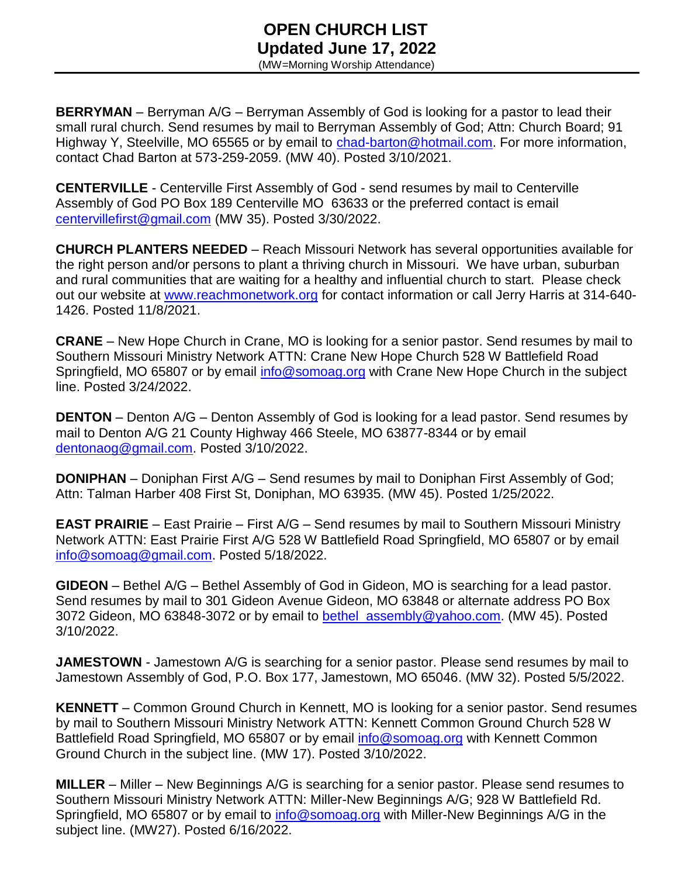### **OPEN CHURCH LIST Updated June 17, 2022** (MW=Morning Worship Attendance)

**BERRYMAN** – Berryman A/G – Berryman Assembly of God is looking for a pastor to lead their small rural church. Send resumes by mail to Berryman Assembly of God; Attn: Church Board; 91 Highway Y, Steelville, MO 65565 or by email to [chad-barton@hotmail.com.](mailto:chad-barton@hotmail.com) For more information, contact Chad Barton at 573-259-2059. (MW 40). Posted 3/10/2021.

**CENTERVILLE** - Centerville First Assembly of God - send resumes by mail to Centerville Assembly of God PO Box 189 Centerville MO 63633 or the preferred contact is email [centervillefirst@gmail.com](mailto:centervillefirst@gmail.com) (MW 35). Posted 3/30/2022.

**CHURCH PLANTERS NEEDED** – Reach Missouri Network has several opportunities available for the right person and/or persons to plant a thriving church in Missouri. We have urban, suburban and rural communities that are waiting for a healthy and influential church to start. Please check out our website at [www.reachmonetwork.org](http://www.reachmonetwork.org/) for contact information or call Jerry Harris at 314-640- 1426. Posted 11/8/2021.

**CRANE** – New Hope Church in Crane, MO is looking for a senior pastor. Send resumes by mail to Southern Missouri Ministry Network ATTN: Crane New Hope Church 528 W Battlefield Road Springfield, MO 65807 or by email [info@somoag.org](mailto:info@somoag.org) with Crane New Hope Church in the subject line. Posted 3/24/2022.

**DENTON** – Denton A/G – Denton Assembly of God is looking for a lead pastor. Send resumes by mail to Denton A/G 21 County Highway 466 Steele, MO 63877-8344 or by email [dentonaog@gmail.com.](mailto:dentonaog@gmail.com) Posted 3/10/2022.

**DONIPHAN** – Doniphan First A/G – Send resumes by mail to Doniphan First Assembly of God; Attn: Talman Harber 408 First St, Doniphan, MO 63935. (MW 45). Posted 1/25/2022.

**EAST PRAIRIE** – East Prairie – First A/G – Send resumes by mail to Southern Missouri Ministry Network ATTN: East Prairie First A/G 528 W Battlefield Road Springfield, MO 65807 or by email [info@somoag@gmail.com.](mailto:info@somoag@gmail.com) Posted 5/18/2022.

**GIDEON** – Bethel A/G – Bethel Assembly of God in Gideon, MO is searching for a lead pastor. Send resumes by mail to 301 Gideon Avenue Gideon, MO 63848 or alternate address PO Box 3072 Gideon, MO 63848-3072 or by email to bethel assembly@yahoo.com. (MW 45). Posted 3/10/2022.

**JAMESTOWN** - Jamestown A/G is searching for a senior pastor. Please send resumes by mail to Jamestown Assembly of God, P.O. Box 177, Jamestown, MO 65046. (MW 32). Posted 5/5/2022.

**KENNETT** – Common Ground Church in Kennett, MO is looking for a senior pastor. Send resumes by mail to Southern Missouri Ministry Network ATTN: Kennett Common Ground Church 528 W Battlefield Road Springfield, MO 65807 or by email [info@somoag.org](mailto:info@somoag.org) with Kennett Common Ground Church in the subject line. (MW 17). Posted 3/10/2022.

**MILLER** – Miller – New Beginnings A/G is searching for a senior pastor. Please send resumes to Southern Missouri Ministry Network ATTN: Miller-New Beginnings A/G; 928 W Battlefield Rd. Springfield, MO 65807 or by email to [info@somoag.org](mailto:info@somoag.org) with Miller-New Beginnings A/G in the subject line. (MW27). Posted 6/16/2022.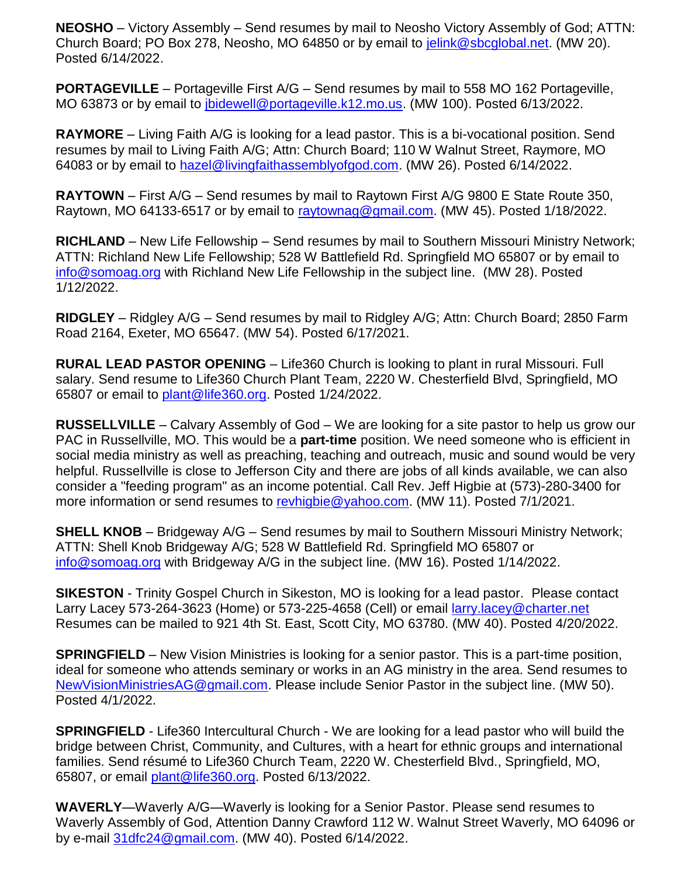**NEOSHO** – Victory Assembly – Send resumes by mail to Neosho Victory Assembly of God; ATTN: Church Board; PO Box 278, Neosho, MO 64850 or by email to [jelink@sbcglobal.net.](mailto:jelink@sbcglobal.net) (MW 20). Posted 6/14/2022.

**PORTAGEVILLE** – Portageville First A/G – Send resumes by mail to 558 MO 162 Portageville, MO 63873 or by email to [jbidewell@portageville.k12.mo.us.](mailto:jbidewell@portageville.k12.mo.us) (MW 100). Posted 6/13/2022.

**RAYMORE** – Living Faith A/G is looking for a lead pastor. This is a bi-vocational position. Send resumes by mail to Living Faith A/G; Attn: Church Board; 110 W Walnut Street, Raymore, MO 64083 or by email to [hazel@livingfaithassemblyofgod.com.](mailto:hazel@livingfaithassemblyofgod.com) (MW 26). Posted 6/14/2022.

**RAYTOWN** – First A/G – Send resumes by mail to Raytown First A/G 9800 E State Route 350, Raytown, MO 64133-6517 or by email to [raytownag@gmail.com.](mailto:raytownag@gmail.com) (MW 45). Posted 1/18/2022.

**RICHLAND** – New Life Fellowship – Send resumes by mail to Southern Missouri Ministry Network; ATTN: Richland New Life Fellowship; 528 W Battlefield Rd. Springfield MO 65807 or by email to [info@somoag.org](mailto:info@somoag.org) with Richland New Life Fellowship in the subject line. (MW 28). Posted 1/12/2022.

**RIDGLEY** – Ridgley A/G – Send resumes by mail to Ridgley A/G; Attn: Church Board; 2850 Farm Road 2164, Exeter, MO 65647. (MW 54). Posted 6/17/2021.

**RURAL LEAD PASTOR OPENING** – Life360 Church is looking to plant in rural Missouri. Full salary. Send resume to Life360 Church Plant Team, 2220 W. Chesterfield Blvd, Springfield, MO 65807 or email to [plant@life360.org.](mailto:plant@life360.org) Posted 1/24/2022.

**RUSSELLVILLE** – Calvary Assembly of God – We are looking for a site pastor to help us grow our PAC in Russellville, MO. This would be a **part-time** position. We need someone who is efficient in social media ministry as well as preaching, teaching and outreach, music and sound would be very helpful. Russellville is close to Jefferson City and there are jobs of all kinds available, we can also consider a "feeding program" as an income potential. Call Rev. Jeff Higbie at (573)-280-3400 for more information or send resumes to [revhigbie@yahoo.com.](mailto:revhigbie@yahoo.com) (MW 11). Posted 7/1/2021.

**SHELL KNOB** – Bridgeway A/G – Send resumes by mail to Southern Missouri Ministry Network; ATTN: Shell Knob Bridgeway A/G; 528 W Battlefield Rd. Springfield MO 65807 or [info@somoag.org](mailto:info@somoag.org) with Bridgeway A/G in the subject line. (MW 16). Posted 1/14/2022.

**SIKESTON** - Trinity Gospel Church in Sikeston, MO is looking for a lead pastor. Please contact Larry Lacey 573-264-3623 (Home) or 573-225-4658 (Cell) or email [larry.lacey@charter.net](mailto:larry.lacey@charter.net) Resumes can be mailed to 921 4th St. East, Scott City, MO 63780. (MW 40). Posted 4/20/2022.

**SPRINGFIELD** – New Vision Ministries is looking for a senior pastor. This is a part-time position, ideal for someone who attends seminary or works in an AG ministry in the area. Send resumes to [NewVisionMinistriesAG@gmail.com.](mailto:NewVisionMinistriesAG@gmail.com) Please include Senior Pastor in the subject line. (MW 50). Posted 4/1/2022.

**SPRINGFIELD** - Life360 Intercultural Church - We are looking for a lead pastor who will build the bridge between Christ, Community, and Cultures, with a heart for ethnic groups and international families. Send résumé to Life360 Church Team, 2220 W. Chesterfield Blvd., Springfield, MO, 65807, or email [plant@life360.org.](mailto:plant@life360.org) Posted 6/13/2022.

**WAVERLY**—Waverly A/G—Waverly is looking for a Senior Pastor. Please send resumes to Waverly Assembly of God, Attention Danny Crawford 112 W. Walnut Street Waverly, MO 64096 or by e-mail [31dfc24@gmail.com.](mailto:31dfc24@gmail.com) (MW 40). Posted 6/14/2022.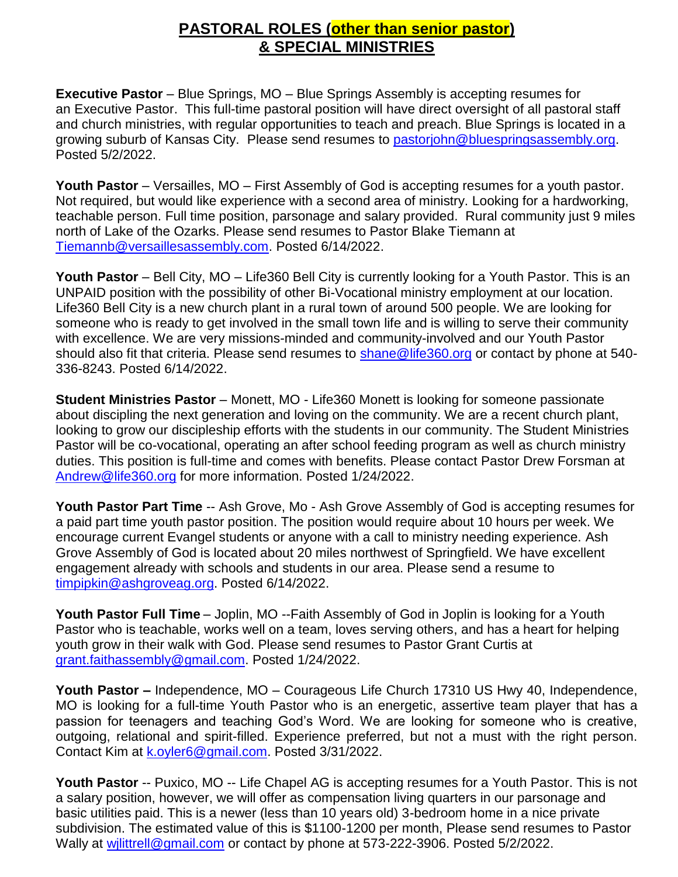## **PASTORAL ROLES (other than senior pastor) & SPECIAL MINISTRIES**

**Executive Pastor** – Blue Springs, MO – Blue Springs Assembly is accepting resumes for an Executive Pastor. This full-time pastoral position will have direct oversight of all pastoral staff and church ministries, with regular opportunities to teach and preach. Blue Springs is located in a growing suburb of Kansas City. Please send resumes to [pastorjohn@bluespringsassembly.org.](mailto:pastorjohn@bluespringsassembly.org) Posted 5/2/2022.

**Youth Pastor** – Versailles, MO – First Assembly of God is accepting resumes for a youth pastor. Not required, but would like experience with a second area of ministry. Looking for a hardworking, teachable person. Full time position, parsonage and salary provided. Rural community just 9 miles north of Lake of the Ozarks. Please send resumes to Pastor Blake Tiemann at [Tiemannb@versaillesassembly.com.](mailto:Tiemannb@versaillesassembly.com) Posted 6/14/2022.

**Youth Pastor** – Bell City, MO – Life360 Bell City is currently looking for a Youth Pastor. This is an UNPAID position with the possibility of other Bi-Vocational ministry employment at our location. Life360 Bell City is a new church plant in a rural town of around 500 people. We are looking for someone who is ready to get involved in the small town life and is willing to serve their community with excellence. We are very missions-minded and community-involved and our Youth Pastor should also fit that criteria. Please send resumes to [shane@life360.org](mailto:shane@life360.org) or contact by phone at 540-336-8243. Posted 6/14/2022.

**Student Ministries Pastor** – Monett, MO - Life360 Monett is looking for someone passionate about discipling the next generation and loving on the community. We are a recent church plant, looking to grow our discipleship efforts with the students in our community. The Student Ministries Pastor will be co-vocational, operating an after school feeding program as well as church ministry duties. This position is full-time and comes with benefits. Please contact Pastor Drew Forsman at [Andrew@life360.org](mailto:Andrew@life360.org) for more information. Posted 1/24/2022.

**Youth Pastor Part Time** -- Ash Grove, Mo - Ash Grove Assembly of God is accepting resumes for a paid part time youth pastor position. The position would require about 10 hours per week. We encourage current Evangel students or anyone with a call to ministry needing experience. Ash Grove Assembly of God is located about 20 miles northwest of Springfield. We have excellent engagement already with schools and students in our area. Please send a resume to [timpipkin@ashgroveag.org.](mailto:timpipkin@ashgroveag.org) Posted 6/14/2022.

**Youth Pastor Full Time** – Joplin, MO --Faith Assembly of God in Joplin is looking for a Youth Pastor who is teachable, works well on a team, loves serving others, and has a heart for helping youth grow in their walk with God. Please send resumes to Pastor Grant Curtis at [grant.faithassembly@gmail.com.](mailto:grant.faithassembly@gmail.com) Posted 1/24/2022.

**Youth Pastor –** Independence, MO – Courageous Life Church 17310 US Hwy 40, Independence, MO is looking for a full-time Youth Pastor who is an energetic, assertive team player that has a passion for teenagers and teaching God's Word. We are looking for someone who is creative, outgoing, relational and spirit-filled. Experience preferred, but not a must with the right person. Contact Kim at [k.oyler6@gmail.com.](mailto:k.oyler6@gmail.com) Posted 3/31/2022.

**Youth Pastor** -- Puxico, MO -- Life Chapel AG is accepting resumes for a Youth Pastor. This is not a salary position, however, we will offer as compensation living quarters in our parsonage and basic utilities paid. This is a newer (less than 10 years old) 3-bedroom home in a nice private subdivision. The estimated value of this is \$1100-1200 per month, Please send resumes to Pastor Wally at wilittrell@gmail.com or contact by phone at 573-222-3906. Posted 5/2/2022.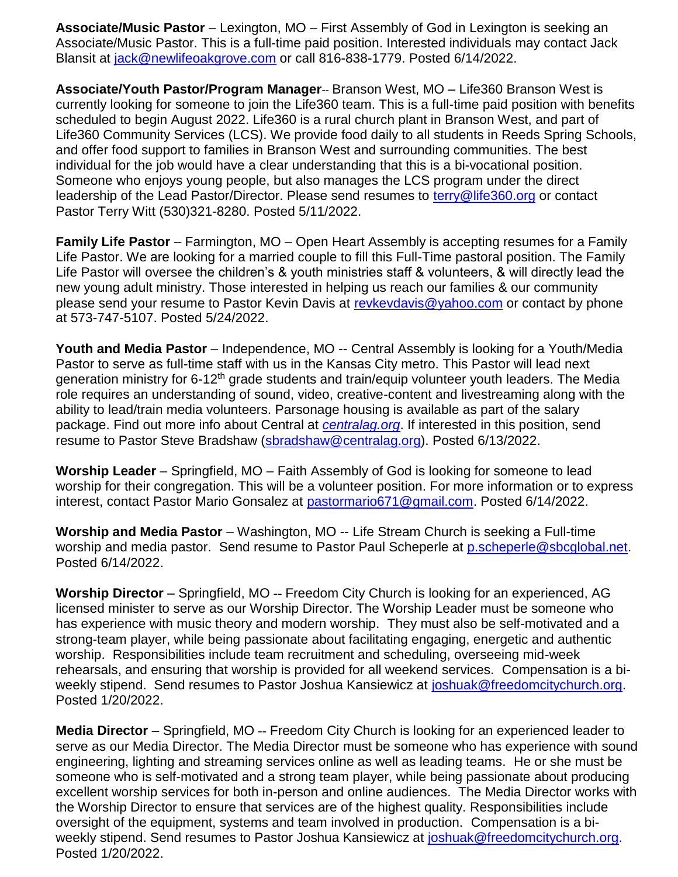**Associate/Music Pastor** – Lexington, MO – First Assembly of God in Lexington is seeking an Associate/Music Pastor. This is a full-time paid position. Interested individuals may contact Jack Blansit at [jack@newlifeoakgrove.com](mailto:jack@newlifeoakgrove.com) or call 816-838-1779. Posted 6/14/2022.

**Associate/Youth Pastor/Program Manager**-- Branson West, MO – Life360 Branson West is currently looking for someone to join the Life360 team. This is a full-time paid position with benefits scheduled to begin August 2022. Life360 is a rural church plant in Branson West, and part of Life360 Community Services (LCS). We provide food daily to all students in Reeds Spring Schools, and offer food support to families in Branson West and surrounding communities. The best individual for the job would have a clear understanding that this is a bi-vocational position. Someone who enjoys young people, but also manages the LCS program under the direct leadership of the Lead Pastor/Director. Please send resumes to [terry@life360.org](mailto:terry@life360.org) or contact Pastor Terry Witt (530)321-8280. Posted 5/11/2022.

**Family Life Pastor** – Farmington, MO – Open Heart Assembly is accepting resumes for a Family Life Pastor. We are looking for a married couple to fill this Full-Time pastoral position. The Family Life Pastor will oversee the children's & youth ministries staff & volunteers, & will directly lead the new young adult ministry. Those interested in helping us reach our families & our community please send your resume to Pastor Kevin Davis at [revkevdavis@yahoo.com](mailto:revkevdavis@yahoo.com) or contact by phone at 573-747-5107. Posted 5/24/2022.

**Youth and Media Pastor** – Independence, MO -- Central Assembly is looking for a Youth/Media Pastor to serve as full-time staff with us in the Kansas City metro. This Pastor will lead next generation ministry for 6-12<sup>th</sup> grade students and train/equip volunteer youth leaders. The Media role requires an understanding of sound, video, creative-content and livestreaming along with the ability to lead/train media volunteers. Parsonage housing is available as part of the salary package. Find out more info about Central at *[centralag.org](https://url2.mailanyone.net/v1/?m=1nyfAB-000G1e-4M&i=57e1b682&c=6GDMiU3C32QU2iBCcK18v6QuKZDkvquYzrMpi5Z9mPxEbdfvq1st5UZxi27bjmzW-NhUFiyGKp2cYPa8to5Yv_nvAl_au3RycZcLB-P0Ps7e90mVsLcTjC6pxM-FwoavA-_KV3bgh-VU9zeiWal6FosptFcMjqqKVmtMg9NyPCiEbeFGzVOacB9LwqVOwmfduDonmB8lCg0kcDzZf64Gow)*. If interested in this position, send resume to Pastor Steve Bradshaw [\(sbradshaw@centralag.org\)](mailto:sbradshaw@centralag.org). Posted 6/13/2022.

**Worship Leader** – Springfield, MO – Faith Assembly of God is looking for someone to lead worship for their congregation. This will be a volunteer position. For more information or to express interest, contact Pastor Mario Gonsalez at [pastormario671@gmail.com.](mailto:pastormario671@gmail.com) Posted 6/14/2022.

Worship and Media Pastor - Washington, MO -- Life Stream Church is seeking a Full-time worship and media pastor. Send resume to Pastor Paul Scheperle at [p.scheperle@sbcglobal.net.](mailto:p.scheperle@sbcglobal.net) Posted 6/14/2022.

**Worship Director** – Springfield, MO **--** Freedom City Church is looking for an experienced, AG licensed minister to serve as our Worship Director. The Worship Leader must be someone who has experience with music theory and modern worship. They must also be self-motivated and a strong-team player, while being passionate about facilitating engaging, energetic and authentic worship. Responsibilities include team recruitment and scheduling, overseeing mid-week rehearsals, and ensuring that worship is provided for all weekend services. Compensation is a biweekly stipend. Send resumes to Pastor Joshua Kansiewicz at [joshuak@freedomcitychurch.org.](mailto:joshuak@freedomcitychurch.org) Posted 1/20/2022.

**Media Director** – Springfield, MO -- Freedom City Church is looking for an experienced leader to serve as our Media Director. The Media Director must be someone who has experience with sound engineering, lighting and streaming services online as well as leading teams. He or she must be someone who is self-motivated and a strong team player, while being passionate about producing excellent worship services for both in-person and online audiences. The Media Director works with the Worship Director to ensure that services are of the highest quality. Responsibilities include oversight of the equipment, systems and team involved in production. Compensation is a biweekly stipend. Send resumes to Pastor Joshua Kansiewicz at [joshuak@freedomcitychurch.org.](mailto:joshuak@freedomcitychurch.org) Posted 1/20/2022.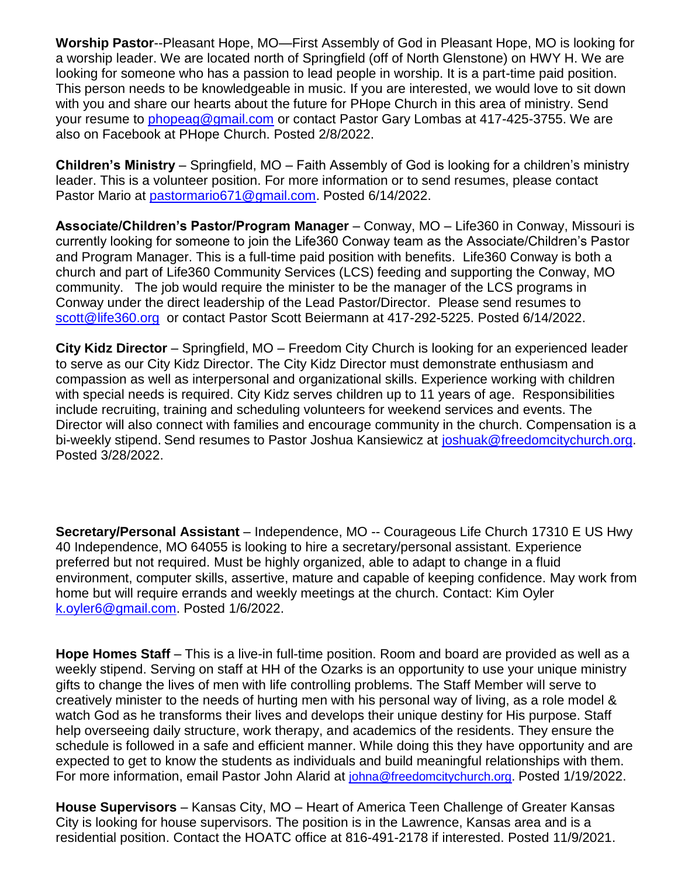**Worship Pastor**--Pleasant Hope, MO—First Assembly of God in Pleasant Hope, MO is looking for a worship leader. We are located north of Springfield (off of North Glenstone) on HWY H. We are looking for someone who has a passion to lead people in worship. It is a part-time paid position. This person needs to be knowledgeable in music. If you are interested, we would love to sit down with you and share our hearts about the future for PHope Church in this area of ministry. Send your resume to [phopeag@gmail.com](mailto:phopeag@gmail.com) or contact Pastor Gary Lombas at 417-425-3755. We are also on Facebook at PHope Church. Posted 2/8/2022.

**Children's Ministry** – Springfield, MO – Faith Assembly of God is looking for a children's ministry leader. This is a volunteer position. For more information or to send resumes, please contact Pastor Mario at [pastormario671@gmail.com.](mailto:pastormario671@gmail.com) Posted 6/14/2022.

**Associate/Children's Pastor/Program Manager** – Conway, MO – Life360 in Conway, Missouri is currently looking for someone to join the Life360 Conway team as the Associate/Children's Pastor and Program Manager. This is a full-time paid position with benefits. Life360 Conway is both a church and part of Life360 Community Services (LCS) feeding and supporting the Conway, MO community. The job would require the minister to be the manager of the LCS programs in Conway under the direct leadership of the Lead Pastor/Director. Please send resumes to [scott@life360.org](mailto:scott@life360.org) or contact Pastor Scott Beiermann at 417-292-5225. Posted 6/14/2022.

**City Kidz Director** – Springfield, MO – Freedom City Church is looking for an experienced leader to serve as our City Kidz Director. The City Kidz Director must demonstrate enthusiasm and compassion as well as interpersonal and organizational skills. Experience working with children with special needs is required. City Kidz serves children up to 11 years of age. Responsibilities include recruiting, training and scheduling volunteers for weekend services and events. The Director will also connect with families and encourage community in the church. Compensation is a bi-weekly stipend. Send resumes to Pastor Joshua Kansiewicz at [joshuak@freedomcitychurch.org.](mailto:joshuak@freedomcitychurch.org) Posted 3/28/2022.

**Secretary/Personal Assistant** – Independence, MO -- Courageous Life Church 17310 E US Hwy 40 Independence, MO 64055 is looking to hire a secretary/personal assistant. Experience preferred but not required. Must be highly organized, able to adapt to change in a fluid environment, computer skills, assertive, mature and capable of keeping confidence. May work from home but will require errands and weekly meetings at the church. Contact: Kim Oyler [k.oyler6@gmail.com.](mailto:k.oyler6@gmail.com) Posted 1/6/2022.

**Hope Homes Staff** – This is a live-in full-time position. Room and board are provided as well as a weekly stipend. Serving on staff at HH of the Ozarks is an opportunity to use your unique ministry gifts to change the lives of men with life controlling problems. The Staff Member will serve to creatively minister to the needs of hurting men with his personal way of living, as a role model & watch God as he transforms their lives and develops their unique destiny for His purpose. Staff help overseeing daily structure, work therapy, and academics of the residents. They ensure the schedule is followed in a safe and efficient manner. While doing this they have opportunity and are expected to get to know the students as individuals and build meaningful relationships with them. For more information, email Pastor John Alarid at [johna@freedomcitychurch.org.](mailto:johna@freedomcitychurch.org) Posted 1/19/2022.

**House Supervisors** – Kansas City, MO – Heart of America Teen Challenge of Greater Kansas City is looking for house supervisors. The position is in the Lawrence, Kansas area and is a residential position. Contact the HOATC office at 816-491-2178 if interested. Posted 11/9/2021.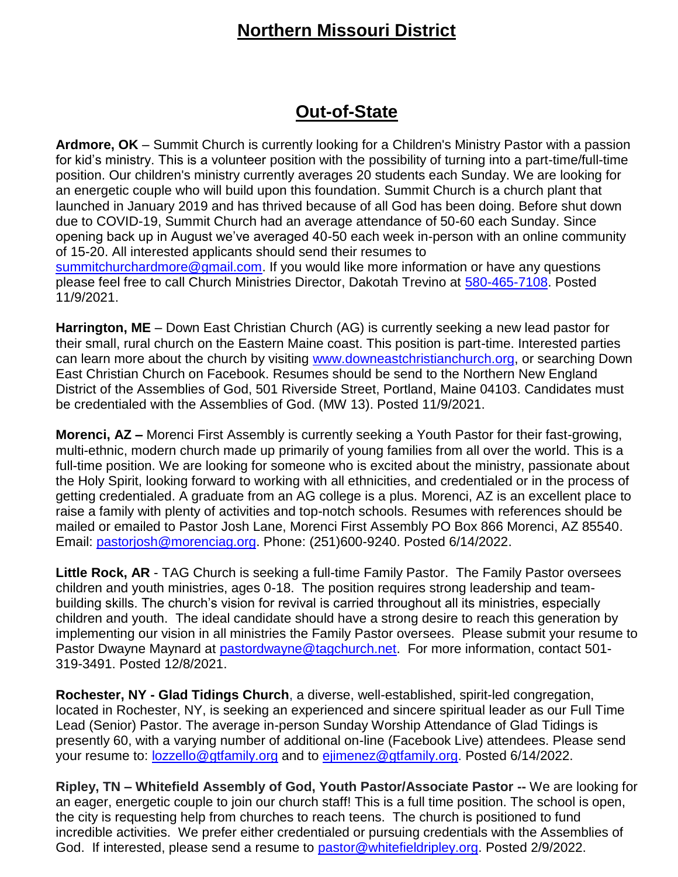# **Northern Missouri District**

## **Out-of-State**

**Ardmore, OK** – Summit Church is currently looking for a Children's Ministry Pastor with a passion for kid's ministry. This is a volunteer position with the possibility of turning into a part-time/full-time position. Our children's ministry currently averages 20 students each Sunday. We are looking for an energetic couple who will build upon this foundation. Summit Church is a church plant that launched in January 2019 and has thrived because of all God has been doing. Before shut down due to COVID-19, Summit Church had an average attendance of 50-60 each Sunday. Since opening back up in August we've averaged 40-50 each week in-person with an online community of 15-20. All interested applicants should send their resumes to [summitchurchardmore@gmail.com.](mailto:summitchurchardmore@gmail.com) If you would like more information or have any questions please feel free to call Church Ministries Director, Dakotah Trevino at [580-465-7108.](tel:580-465-7108) Posted 11/9/2021.

**Harrington, ME** – Down East Christian Church (AG) is currently seeking a new lead pastor for their small, rural church on the Eastern Maine coast. This position is part-time. Interested parties can learn more about the church by visiting [www.downeastchristianchurch.org,](http://www.downeastchristianchurch.org/) or searching Down East Christian Church on Facebook. Resumes should be send to the Northern New England District of the Assemblies of God, 501 Riverside Street, Portland, Maine 04103. Candidates must be credentialed with the Assemblies of God. (MW 13). Posted 11/9/2021.

**Morenci, AZ –** Morenci First Assembly is currently seeking a Youth Pastor for their fast-growing, multi-ethnic, modern church made up primarily of young families from all over the world. This is a full-time position. We are looking for someone who is excited about the ministry, passionate about the Holy Spirit, looking forward to working with all ethnicities, and credentialed or in the process of getting credentialed. A graduate from an AG college is a plus. Morenci, AZ is an excellent place to raise a family with plenty of activities and top-notch schools. Resumes with references should be mailed or emailed to Pastor Josh Lane, Morenci First Assembly PO Box 866 Morenci, AZ 85540. Email: [pastorjosh@morenciag.org.](mailto:pastorjosh@morenciag.org) Phone: (251)600-9240. Posted 6/14/2022.

**Little Rock, AR** - TAG Church is seeking a full-time Family Pastor. The Family Pastor oversees children and youth ministries, ages 0-18. The position requires strong leadership and teambuilding skills. The church's vision for revival is carried throughout all its ministries, especially children and youth. The ideal candidate should have a strong desire to reach this generation by implementing our vision in all ministries the Family Pastor oversees. Please submit your resume to Pastor Dwayne Maynard at [pastordwayne@tagchurch.net.](mailto:pastordwayne@tagchurch.net) For more information, contact 501-319-3491. Posted 12/8/2021.

**Rochester, NY - [Glad Tidings Church](http://www.gtfamily.org/)**, a diverse, well-established, spirit-led congregation, located in Rochester, NY, is seeking an experienced and sincere spiritual leader as our Full Time Lead (Senior) Pastor. The average in-person Sunday Worship Attendance of Glad Tidings is presently 60, with a varying number of additional on-line (Facebook Live) attendees. Please send your resume to: [lozzello@gtfamily.org](mailto:lozzello@gtfamily.org) and to [ejimenez@gtfamily.org.](mailto:ejimenez@gtfamily.org) Posted 6/14/2022.

**Ripley, TN – Whitefield Assembly of God, Youth Pastor/Associate Pastor --** We are looking for an eager, energetic couple to join our church staff! This is a full time position. The school is open, the city is requesting help from churches to reach teens. The church is positioned to fund incredible activities. We prefer either credentialed or pursuing credentials with the Assemblies of God. If interested, please send a resume to [pastor@whitefieldripley.org.](mailto:pastor@whitefieldripley.org) Posted 2/9/2022.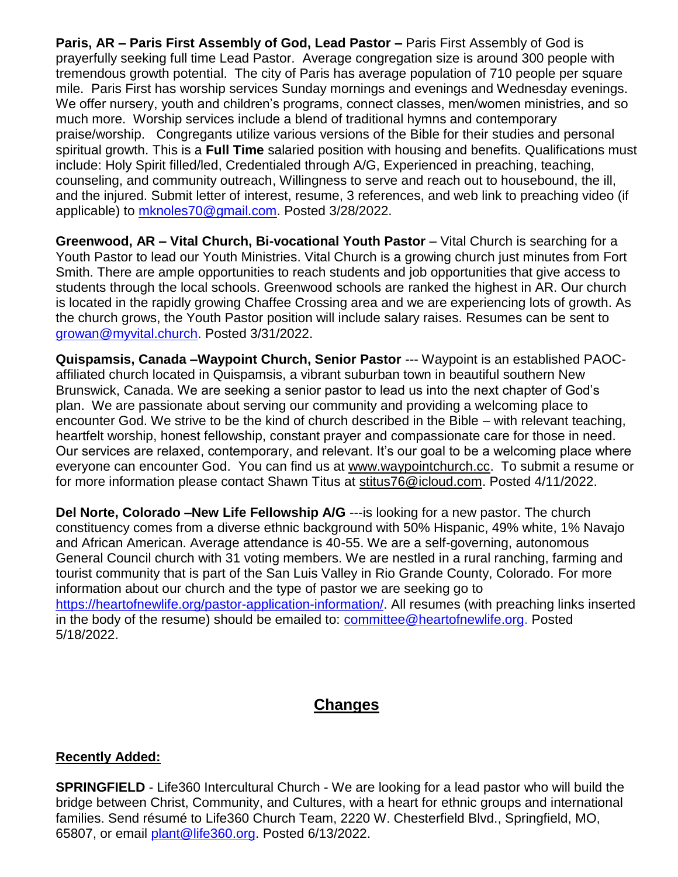**Paris, AR – Paris First Assembly of God, Lead Pastor –** Paris First Assembly of God is prayerfully seeking full time Lead Pastor. Average congregation size is around 300 people with tremendous growth potential. The city of Paris has average population of 710 people per square mile. Paris First has worship services Sunday mornings and evenings and Wednesday evenings. We offer nursery, youth and children's programs, connect classes, men/women ministries, and so much more. Worship services include a blend of traditional hymns and contemporary praise/worship. Congregants utilize various versions of the Bible for their studies and personal spiritual growth. This is a **Full Time** salaried position with housing and benefits. Qualifications must include: Holy Spirit filled/led, Credentialed through A/G, Experienced in preaching, teaching, counseling, and community outreach, Willingness to serve and reach out to housebound, the ill, and the injured. Submit letter of interest, resume, 3 references, and web link to preaching video (if applicable) to [mknoles70@gmail.com.](mailto:mknoles70@gmail.com) Posted 3/28/2022.

**Greenwood, AR - Vital Church, Bi-vocational Youth Pastor** - Vital Church is searching for a Youth Pastor to lead our Youth Ministries. Vital Church is a growing church just minutes from Fort Smith. There are ample opportunities to reach students and job opportunities that give access to students through the local schools. Greenwood schools are ranked the highest in AR. Our church is located in the rapidly growing Chaffee Crossing area and we are experiencing lots of growth. As the church grows, the Youth Pastor position will include salary raises. Resumes can be sent to [growan@myvital.church.](mailto:growan@myvital.church) Posted 3/31/2022.

**Quispamsis, Canada –Waypoint Church, Senior Pastor** --- Waypoint is an established PAOCaffiliated church located in Quispamsis, a vibrant suburban town in beautiful southern New Brunswick, Canada. We are seeking a senior pastor to lead us into the next chapter of God's plan. We are passionate about serving our community and providing a welcoming place to encounter God. We strive to be the kind of church described in the Bible – with relevant teaching, heartfelt worship, honest fellowship, constant prayer and compassionate care for those in need. Our services are relaxed, contemporary, and relevant. It's our goal to be a welcoming place where everyone can encounter God. You can find us at [www.waypointchurch.cc.](https://url2.mailanyone.net/v1/?m=1ndi95-0008n1-4u&i=57e1b682&c=ftxNO_a4tj1LlgmSHy632muiJjhgkPEEPWITWtrSD6d5fiYKq4wev6vo3m3XjbRvj20V7wMCgt1ifjovST5BV0OBBPCBbBlndQI6HbTFGW4RcRz0bynBMhl-e7f5STJpJTTWJCrp_VU_rKlgOXRh7PSkSd_3rRW3YZpvIUiOoLgA1rdN4h5NUAgmPbMGmqM2ZT5OetrFIj-CNRueoxbZHKlV9FcaGZJw0a56I28sSAE) To submit a resume or for more information please contact Shawn Titus at [stitus76@icloud.com.](mailto:stitus76@icloud.com) Posted 4/11/2022.

**Del Norte, Colorado –New Life Fellowship A/G** ---is looking for a new pastor. The church constituency comes from a diverse ethnic background with 50% Hispanic, 49% white, 1% Navajo and African American. Average attendance is 40-55. We are a self-governing, autonomous General Council church with 31 voting members. We are nestled in a rural ranching, farming and tourist community that is part of the San Luis Valley in Rio Grande County, Colorado. For more information about our church and the type of pastor we are seeking go to [https://heartofnewlife.org/pastor-application-information/.](https://heartofnewlife.org/pastor-application-information/) All resumes (with preaching links inserted in the body of the resume) should be emailed to: [committee@heartofnewlife.org.](mailto:committee@heartofnewlife.org) Posted 5/18/2022.

## **Changes**

#### **Recently Added:**

**SPRINGFIELD** - Life360 Intercultural Church - We are looking for a lead pastor who will build the bridge between Christ, Community, and Cultures, with a heart for ethnic groups and international families. Send résumé to Life360 Church Team, 2220 W. Chesterfield Blvd., Springfield, MO, 65807, or email [plant@life360.org.](mailto:plant@life360.org) Posted 6/13/2022.